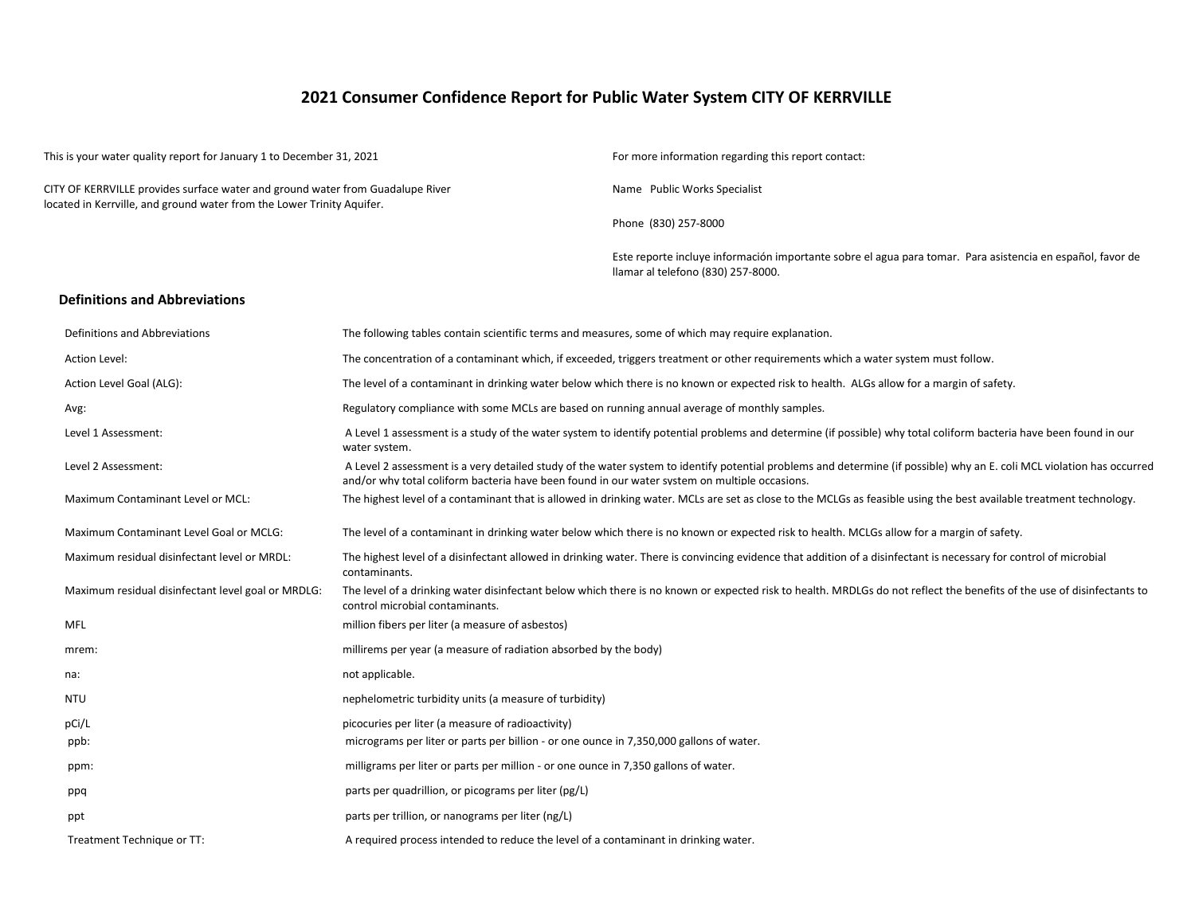## **2021 Consumer Confidence Report for Public Water System CITY OF KERRVILLE**

| This is your water quality report for January 1 to December 31, 2021                                                                                     |                                                                                                                                                                                                                                                                         | For more information regarding this report contact:<br>Name Public Works Specialist                                                                               |  |  |  |  |
|----------------------------------------------------------------------------------------------------------------------------------------------------------|-------------------------------------------------------------------------------------------------------------------------------------------------------------------------------------------------------------------------------------------------------------------------|-------------------------------------------------------------------------------------------------------------------------------------------------------------------|--|--|--|--|
| CITY OF KERRVILLE provides surface water and ground water from Guadalupe River<br>located in Kerrville, and ground water from the Lower Trinity Aquifer. |                                                                                                                                                                                                                                                                         |                                                                                                                                                                   |  |  |  |  |
|                                                                                                                                                          |                                                                                                                                                                                                                                                                         | Phone (830) 257-8000                                                                                                                                              |  |  |  |  |
|                                                                                                                                                          |                                                                                                                                                                                                                                                                         | Este reporte incluye información importante sobre el agua para tomar. Para asistencia en español, favor de<br>Ilamar al telefono (830) 257-8000.                  |  |  |  |  |
| <b>Definitions and Abbreviations</b>                                                                                                                     |                                                                                                                                                                                                                                                                         |                                                                                                                                                                   |  |  |  |  |
| Definitions and Abbreviations                                                                                                                            | The following tables contain scientific terms and measures, some of which may require explanation.                                                                                                                                                                      |                                                                                                                                                                   |  |  |  |  |
| Action Level:                                                                                                                                            | The concentration of a contaminant which, if exceeded, triggers treatment or other requirements which a water system must follow.                                                                                                                                       |                                                                                                                                                                   |  |  |  |  |
| Action Level Goal (ALG):                                                                                                                                 |                                                                                                                                                                                                                                                                         | The level of a contaminant in drinking water below which there is no known or expected risk to health. ALGs allow for a margin of safety.                         |  |  |  |  |
| Avg:                                                                                                                                                     | Regulatory compliance with some MCLs are based on running annual average of monthly samples.                                                                                                                                                                            |                                                                                                                                                                   |  |  |  |  |
| Level 1 Assessment:                                                                                                                                      | A Level 1 assessment is a study of the water system to identify potential problems and determine (if possible) why total coliform bacteria have been found in our<br>water system.                                                                                      |                                                                                                                                                                   |  |  |  |  |
| Level 2 Assessment:                                                                                                                                      | A Level 2 assessment is a very detailed study of the water system to identify potential problems and determine (if possible) why an E. coli MCL violation has occurred<br>and/or why total coliform bacteria have been found in our water system on multiple occasions. |                                                                                                                                                                   |  |  |  |  |
| Maximum Contaminant Level or MCL:                                                                                                                        | The highest level of a contaminant that is allowed in drinking water. MCLs are set as close to the MCLGs as feasible using the best available treatment technology.                                                                                                     |                                                                                                                                                                   |  |  |  |  |
| Maximum Contaminant Level Goal or MCLG:                                                                                                                  |                                                                                                                                                                                                                                                                         | The level of a contaminant in drinking water below which there is no known or expected risk to health. MCLGs allow for a margin of safety.                        |  |  |  |  |
| Maximum residual disinfectant level or MRDL:                                                                                                             | contaminants.                                                                                                                                                                                                                                                           | The highest level of a disinfectant allowed in drinking water. There is convincing evidence that addition of a disinfectant is necessary for control of microbial |  |  |  |  |
| Maximum residual disinfectant level goal or MRDLG:                                                                                                       | The level of a drinking water disinfectant below which there is no known or expected risk to health. MRDLGs do not reflect the benefits of the use of disinfectants to<br>control microbial contaminants.                                                               |                                                                                                                                                                   |  |  |  |  |
| <b>MFL</b>                                                                                                                                               | million fibers per liter (a measure of asbestos)                                                                                                                                                                                                                        |                                                                                                                                                                   |  |  |  |  |
| mrem:                                                                                                                                                    | millirems per year (a measure of radiation absorbed by the body)                                                                                                                                                                                                        |                                                                                                                                                                   |  |  |  |  |
| na:                                                                                                                                                      | not applicable.                                                                                                                                                                                                                                                         |                                                                                                                                                                   |  |  |  |  |
| <b>NTU</b>                                                                                                                                               | nephelometric turbidity units (a measure of turbidity)                                                                                                                                                                                                                  |                                                                                                                                                                   |  |  |  |  |
| pCi/L                                                                                                                                                    | picocuries per liter (a measure of radioactivity)                                                                                                                                                                                                                       |                                                                                                                                                                   |  |  |  |  |
| ppb:                                                                                                                                                     | micrograms per liter or parts per billion - or one ounce in 7,350,000 gallons of water.                                                                                                                                                                                 |                                                                                                                                                                   |  |  |  |  |
| ppm:                                                                                                                                                     | milligrams per liter or parts per million - or one ounce in 7,350 gallons of water.                                                                                                                                                                                     |                                                                                                                                                                   |  |  |  |  |
| ppq                                                                                                                                                      | parts per quadrillion, or picograms per liter (pg/L)                                                                                                                                                                                                                    |                                                                                                                                                                   |  |  |  |  |
| ppt                                                                                                                                                      | parts per trillion, or nanograms per liter (ng/L)                                                                                                                                                                                                                       |                                                                                                                                                                   |  |  |  |  |
| Treatment Technique or TT:                                                                                                                               | A required process intended to reduce the level of a contaminant in drinking water.                                                                                                                                                                                     |                                                                                                                                                                   |  |  |  |  |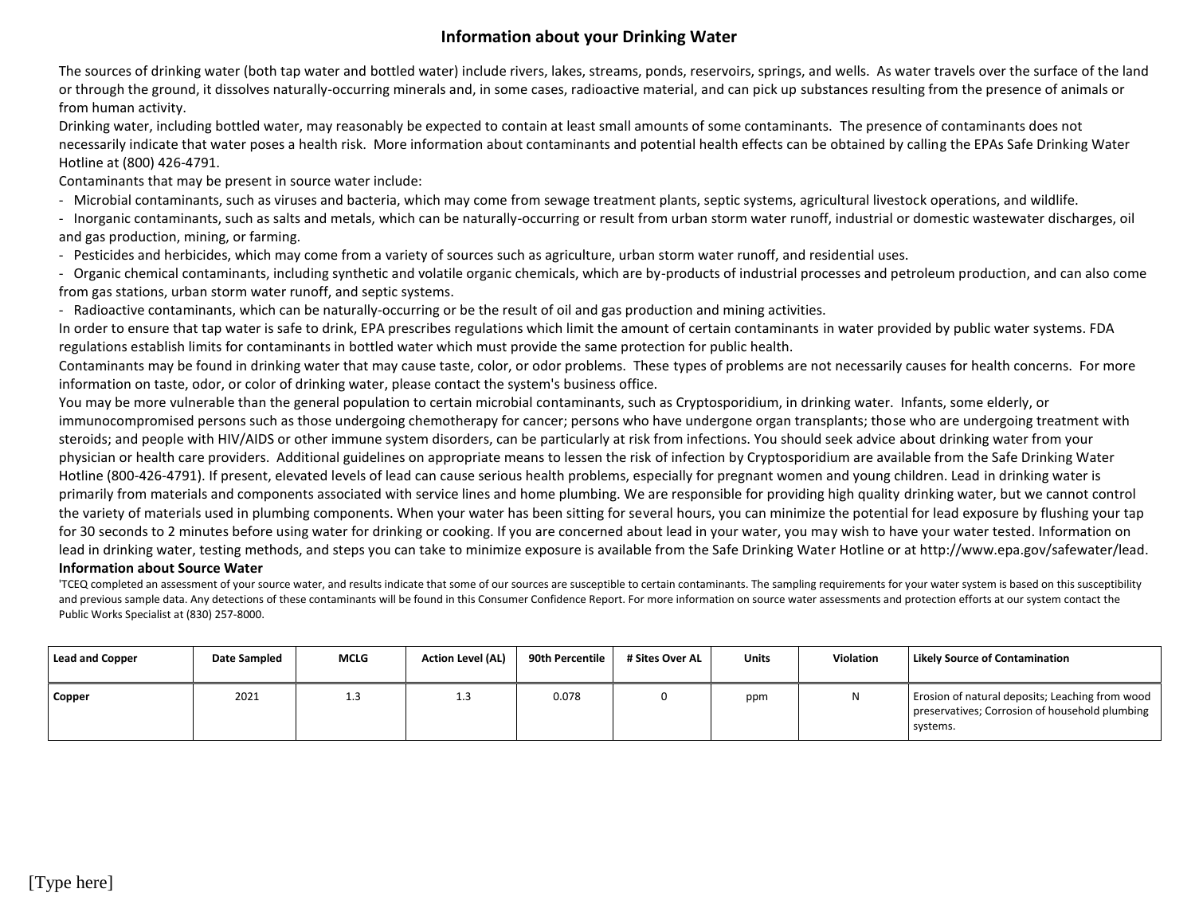## **Information about your Drinking Water**

The sources of drinking water (both tap water and bottled water) include rivers, lakes, streams, ponds, reservoirs, springs, and wells. As water travels over the surface of the land or through the ground, it dissolves naturally-occurring minerals and, in some cases, radioactive material, and can pick up substances resulting from the presence of animals or from human activity.

Drinking water, including bottled water, may reasonably be expected to contain at least small amounts of some contaminants. The presence of contaminants does not necessarily indicate that water poses a health risk. More information about contaminants and potential health effects can be obtained by calling the EPAs Safe Drinking Water Hotline at (800) 426-4791.

Contaminants that may be present in source water include:

- Microbial contaminants, such as viruses and bacteria, which may come from sewage treatment plants, septic systems, agricultural livestock operations, and wildlife.

- Inorganic contaminants, such as salts and metals, which can be naturally-occurring or result from urban storm water runoff, industrial or domestic wastewater discharges, oil and gas production, mining, or farming.

- Pesticides and herbicides, which may come from a variety of sources such as agriculture, urban storm water runoff, and residential uses.

- Organic chemical contaminants, including synthetic and volatile organic chemicals, which are by-products of industrial processes and petroleum production, and can also come from gas stations, urban storm water runoff, and septic systems.

- Radioactive contaminants, which can be naturally-occurring or be the result of oil and gas production and mining activities.

In order to ensure that tap water is safe to drink, EPA prescribes regulations which limit the amount of certain contaminants in water provided by public water systems. FDA regulations establish limits for contaminants in bottled water which must provide the same protection for public health.

Contaminants may be found in drinking water that may cause taste, color, or odor problems. These types of problems are not necessarily causes for health concerns. For more information on taste, odor, or color of drinking water, please contact the system's business office.

You may be more vulnerable than the general population to certain microbial contaminants, such as Cryptosporidium, in drinking water. Infants, some elderly, or immunocompromised persons such as those undergoing chemotherapy for cancer; persons who have undergone organ transplants; those who are undergoing treatment with steroids; and people with HIV/AIDS or other immune system disorders, can be particularly at risk from infections. You should seek advice about drinking water from your physician or health care providers. Additional guidelines on appropriate means to lessen the risk of infection by Cryptosporidium are available from the Safe Drinking Water Hotline (800-426-4791). If present, elevated levels of lead can cause serious health problems, especially for pregnant women and young children. Lead in drinking water is primarily from materials and components associated with service lines and home plumbing. We are responsible for providing high quality drinking water, but we cannot control the variety of materials used in plumbing components. When your water has been sitting for several hours, you can minimize the potential for lead exposure by flushing your tap for 30 seconds to 2 minutes before using water for drinking or cooking. If you are concerned about lead in your water, you may wish to have your water tested. Information on lead in drinking water, testing methods, and steps you can take to minimize exposure is available from the Safe Drinking Water Hotline or at http://www.epa.gov/safewater/lead.

### **Information about Source Water**

'TCEQ completed an assessment of your source water, and results indicate that some of our sources are susceptible to certain contaminants. The sampling requirements for your water system is based on this susceptibility and previous sample data. Any detections of these contaminants will be found in this Consumer Confidence Report. For more information on source water assessments and protection efforts at our system contact the Public Works Specialist at (830) 257-8000.

| Lead and Copper | Date Sampled | <b>MCLG</b> | <b>Action Level (AL)</b> | 90th Percentile | # Sites Over AL | Units | <b>Violation</b> | <b>Likely Source of Contamination</b>                                                                         |
|-----------------|--------------|-------------|--------------------------|-----------------|-----------------|-------|------------------|---------------------------------------------------------------------------------------------------------------|
| <b>Copper</b>   | 2021         | 1.3         | 1.3                      | 0.078           |                 | ppm   | N                | Erosion of natural deposits; Leaching from wood<br>preservatives; Corrosion of household plumbing<br>systems. |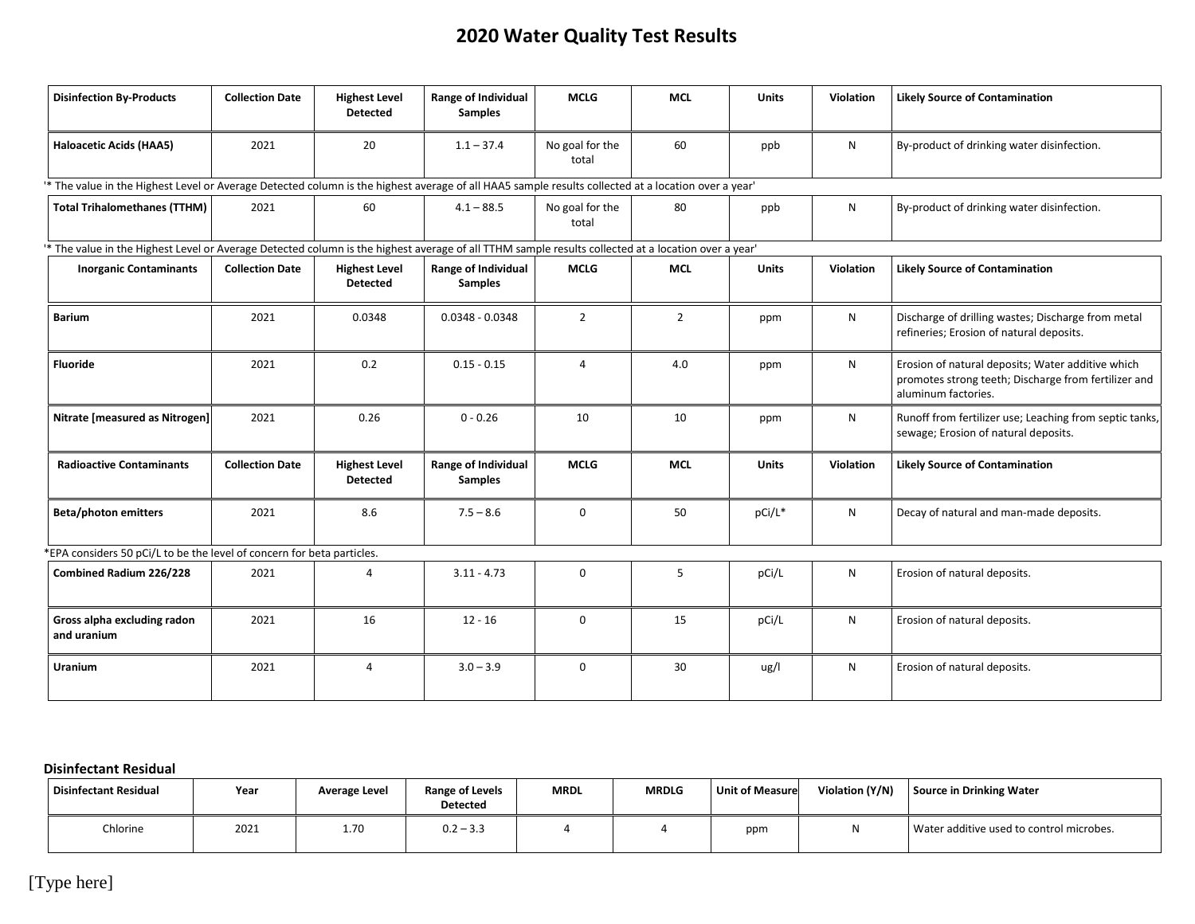# **2020 Water Quality Test Results**

| <b>Disinfection By-Products</b>                                                                                                                    | <b>Collection Date</b> | <b>Highest Level</b><br><b>Detected</b> | Range of Individual<br><b>Samples</b>        | <b>MCLG</b>              | <b>MCL</b>     | <b>Units</b> | Violation        | <b>Likely Source of Contamination</b>                                                                                            |
|----------------------------------------------------------------------------------------------------------------------------------------------------|------------------------|-----------------------------------------|----------------------------------------------|--------------------------|----------------|--------------|------------------|----------------------------------------------------------------------------------------------------------------------------------|
| <b>Haloacetic Acids (HAA5)</b>                                                                                                                     | 2021                   | 20                                      | $1.1 - 37.4$                                 | No goal for the<br>total | 60             | ppb          | N                | By-product of drinking water disinfection.                                                                                       |
| * The value in the Highest Level or Average Detected column is the highest average of all HAA5 sample results collected at a location over a year' |                        |                                         |                                              |                          |                |              |                  |                                                                                                                                  |
| <b>Total Trihalomethanes (TTHM)</b>                                                                                                                | 2021                   | 60                                      | $4.1 - 88.5$                                 | No goal for the<br>total | 80             | ppb          | N                | By-product of drinking water disinfection.                                                                                       |
| * The value in the Highest Level or Average Detected column is the highest average of all TTHM sample results collected at a location over a year' |                        |                                         |                                              |                          |                |              |                  |                                                                                                                                  |
| <b>Inorganic Contaminants</b>                                                                                                                      | <b>Collection Date</b> | <b>Highest Level</b><br><b>Detected</b> | <b>Range of Individual</b><br><b>Samples</b> | <b>MCLG</b>              | <b>MCL</b>     | <b>Units</b> | Violation        | <b>Likely Source of Contamination</b>                                                                                            |
| <b>Barium</b>                                                                                                                                      | 2021                   | 0.0348                                  | $0.0348 - 0.0348$                            | $\overline{2}$           | $\overline{2}$ | ppm          | N                | Discharge of drilling wastes; Discharge from metal<br>refineries; Erosion of natural deposits.                                   |
| <b>Fluoride</b>                                                                                                                                    | 2021                   | 0.2                                     | $0.15 - 0.15$                                | $\overline{4}$           | 4.0            | ppm          | N                | Erosion of natural deposits; Water additive which<br>promotes strong teeth; Discharge from fertilizer and<br>aluminum factories. |
| Nitrate [measured as Nitrogen]                                                                                                                     | 2021                   | 0.26                                    | $0 - 0.26$                                   | 10                       | 10             | ppm          | N                | Runoff from fertilizer use; Leaching from septic tanks,<br>sewage; Erosion of natural deposits.                                  |
| <b>Radioactive Contaminants</b>                                                                                                                    | <b>Collection Date</b> | <b>Highest Level</b><br><b>Detected</b> | Range of Individual<br><b>Samples</b>        | <b>MCLG</b>              | <b>MCL</b>     | <b>Units</b> | <b>Violation</b> | <b>Likely Source of Contamination</b>                                                                                            |
| <b>Beta/photon emitters</b>                                                                                                                        | 2021                   | 8.6                                     | $7.5 - 8.6$                                  | 0                        | 50             | pCi/L*       | N                | Decay of natural and man-made deposits.                                                                                          |
| *EPA considers 50 pCi/L to be the level of concern for beta particles.                                                                             |                        |                                         |                                              |                          |                |              |                  |                                                                                                                                  |
| Combined Radium 226/228                                                                                                                            | 2021                   | 4                                       | $3.11 - 4.73$                                | 0                        | 5              | pCi/L        | N                | Erosion of natural deposits.                                                                                                     |
| Gross alpha excluding radon<br>and uranium                                                                                                         | 2021                   | 16                                      | $12 - 16$                                    | 0                        | 15             | pCi/L        | N                | Erosion of natural deposits.                                                                                                     |
| Uranium                                                                                                                                            | 2021                   | 4                                       | $3.0 - 3.9$                                  | 0                        | 30             | ug/l         | N                | Erosion of natural deposits.                                                                                                     |

## **Disinfectant Residual**

| Disinfectant Residual | Year | Average Level | Range of Levels<br><b>Detected</b> | <b>MRDL</b> | <b>MRDLG</b> | Unit of Measure | Violation (Y/N) | Source in Drinking Water                 |
|-----------------------|------|---------------|------------------------------------|-------------|--------------|-----------------|-----------------|------------------------------------------|
| Chlorine              | 2021 | 1.70          | $0.2 - 3.3$                        |             |              | ppm             |                 | Water additive used to control microbes. |